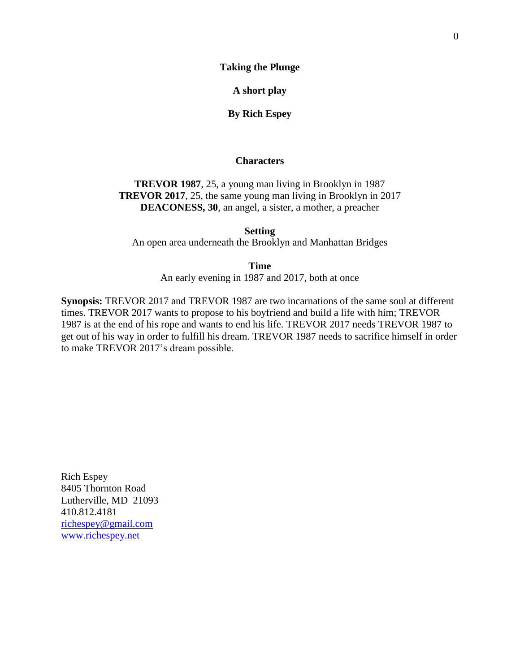**Taking the Plunge** 

**A short play**

**By Rich Espey**

# **Characters**

**TREVOR 1987**, 25, a young man living in Brooklyn in 1987 **TREVOR 2017**, 25, the same young man living in Brooklyn in 2017 **DEACONESS, 30**, an angel, a sister, a mother, a preacher

**Setting** An open area underneath the Brooklyn and Manhattan Bridges

> **Time** An early evening in 1987 and 2017, both at once

**Synopsis:** TREVOR 2017 and TREVOR 1987 are two incarnations of the same soul at different times. TREVOR 2017 wants to propose to his boyfriend and build a life with him; TREVOR 1987 is at the end of his rope and wants to end his life. TREVOR 2017 needs TREVOR 1987 to get out of his way in order to fulfill his dream. TREVOR 1987 needs to sacrifice himself in order to make TREVOR 2017's dream possible.

Rich Espey 8405 Thornton Road Lutherville, MD 21093 410.812.4181 [richespey@gmail.com](mailto:richespey@gmail.com) [www.richespey.net](http://www.richespey.net/)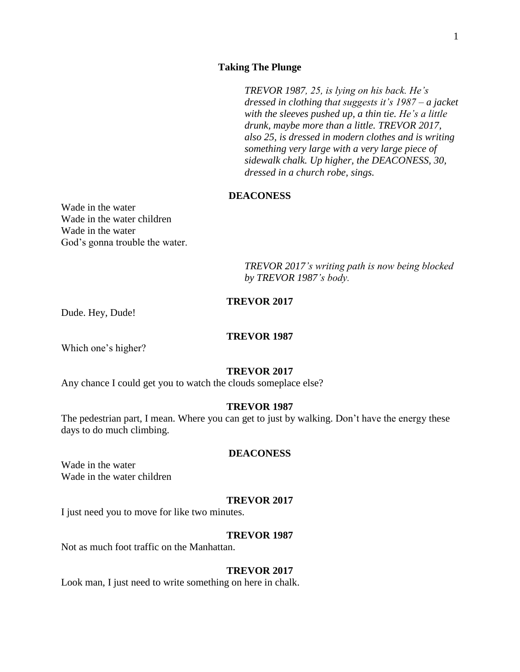## **Taking The Plunge**

*TREVOR 1987, 25, is lying on his back. He's dressed in clothing that suggests it's 1987 – a jacket with the sleeves pushed up, a thin tie. He's a little drunk, maybe more than a little. TREVOR 2017, also 25, is dressed in modern clothes and is writing something very large with a very large piece of sidewalk chalk. Up higher, the DEACONESS, 30, dressed in a church robe, sings.*

# **DEACONESS**

Wade in the water Wade in the water children Wade in the water God's gonna trouble the water.

> *TREVOR 2017's writing path is now being blocked by TREVOR 1987's body.*

# **TREVOR 2017**

Dude. Hey, Dude!

## **TREVOR 1987**

Which one's higher?

### **TREVOR 2017**

Any chance I could get you to watch the clouds someplace else?

# **TREVOR 1987**

The pedestrian part, I mean. Where you can get to just by walking. Don't have the energy these days to do much climbing.

# **DEACONESS**

Wade in the water Wade in the water children

### **TREVOR 2017**

I just need you to move for like two minutes.

#### **TREVOR 1987**

Not as much foot traffic on the Manhattan.

### **TREVOR 2017**

Look man, I just need to write something on here in chalk.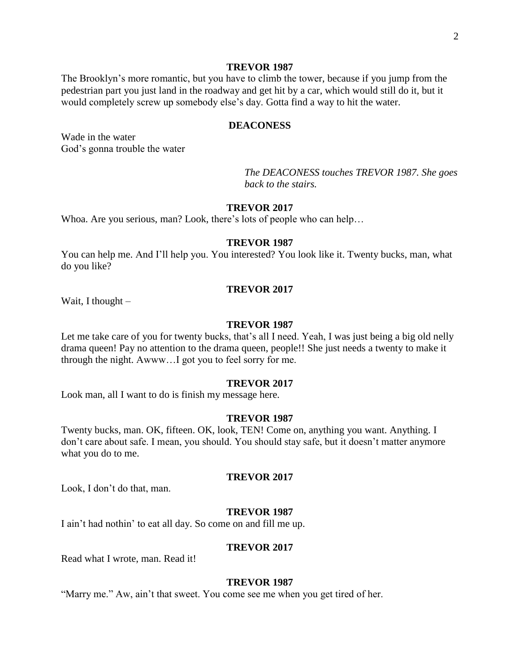The Brooklyn's more romantic, but you have to climb the tower, because if you jump from the pedestrian part you just land in the roadway and get hit by a car, which would still do it, but it would completely screw up somebody else's day. Gotta find a way to hit the water.

## **DEACONESS**

Wade in the water God's gonna trouble the water

> *The DEACONESS touches TREVOR 1987. She goes back to the stairs.*

### **TREVOR 2017**

Whoa. Are you serious, man? Look, there's lots of people who can help…

## **TREVOR 1987**

You can help me. And I'll help you. You interested? You look like it. Twenty bucks, man, what do you like?

### **TREVOR 2017**

Wait, I thought –

### **TREVOR 1987**

Let me take care of you for twenty bucks, that's all I need. Yeah, I was just being a big old nelly drama queen! Pay no attention to the drama queen, people!! She just needs a twenty to make it through the night. Awww…I got you to feel sorry for me.

## **TREVOR 2017**

Look man, all I want to do is finish my message here.

### **TREVOR 1987**

Twenty bucks, man. OK, fifteen. OK, look, TEN! Come on, anything you want. Anything. I don't care about safe. I mean, you should. You should stay safe, but it doesn't matter anymore what you do to me.

#### **TREVOR 2017**

Look, I don't do that, man.

## **TREVOR 1987**

I ain't had nothin' to eat all day. So come on and fill me up.

## **TREVOR 2017**

Read what I wrote, man. Read it!

## **TREVOR 1987**

"Marry me." Aw, ain't that sweet. You come see me when you get tired of her.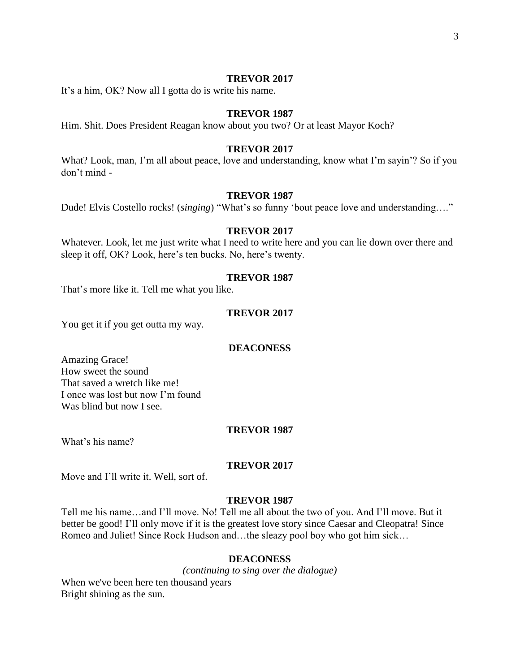It's a him, OK? Now all I gotta do is write his name.

### **TREVOR 1987**

Him. Shit. Does President Reagan know about you two? Or at least Mayor Koch?

## **TREVOR 2017**

What? Look, man, I'm all about peace, love and understanding, know what I'm sayin'? So if you don't mind -

### **TREVOR 1987**

Dude! Elvis Costello rocks! (*singing*) "What's so funny 'bout peace love and understanding…."

### **TREVOR 2017**

Whatever. Look, let me just write what I need to write here and you can lie down over there and sleep it off, OK? Look, here's ten bucks. No, here's twenty.

### **TREVOR 1987**

That's more like it. Tell me what you like.

# **TREVOR 2017**

You get it if you get outta my way.

### **DEACONESS**

Amazing Grace! How sweet the sound That saved a wretch like me! I once was lost but now I'm found Was blind but now I see.

### **TREVOR 1987**

What's his name?

### **TREVOR 2017**

Move and I'll write it. Well, sort of.

## **TREVOR 1987**

Tell me his name…and I'll move. No! Tell me all about the two of you. And I'll move. But it better be good! I'll only move if it is the greatest love story since Caesar and Cleopatra! Since Romeo and Juliet! Since Rock Hudson and…the sleazy pool boy who got him sick…

### **DEACONESS**

*(continuing to sing over the dialogue)* When we've been here ten thousand years Bright shining as the sun.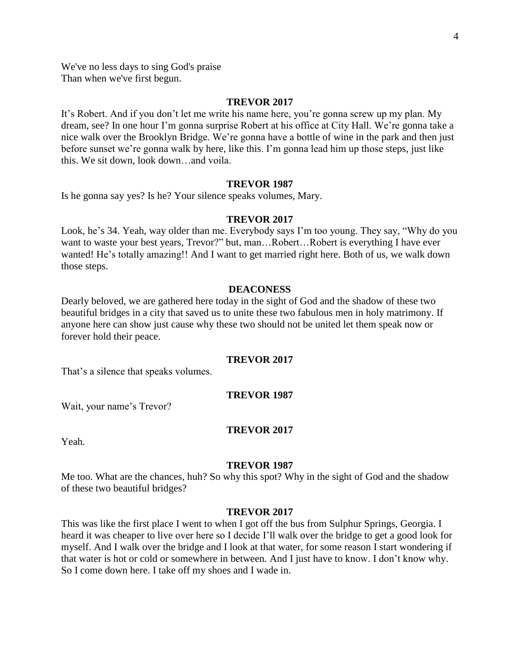We've no less days to sing God's praise Than when we've first begun.

### **TREVOR 2017**

It's Robert. And if you don't let me write his name here, you're gonna screw up my plan. My dream, see? In one hour I'm gonna surprise Robert at his office at City Hall. We're gonna take a nice walk over the Brooklyn Bridge. We're gonna have a bottle of wine in the park and then just before sunset we're gonna walk by here, like this. I'm gonna lead him up those steps, just like this. We sit down, look down…and voila.

## **TREVOR 1987**

Is he gonna say yes? Is he? Your silence speaks volumes, Mary.

## **TREVOR 2017**

Look, he's 34. Yeah, way older than me. Everybody says I'm too young. They say, "Why do you want to waste your best years, Trevor?" but, man...Robert...Robert is everything I have ever wanted! He's totally amazing!! And I want to get married right here. Both of us, we walk down those steps.

## **DEACONESS**

Dearly beloved, we are gathered here today in the sight of God and the shadow of these two beautiful bridges in a city that saved us to unite these two fabulous men in holy matrimony. If anyone here can show just cause why these two should not be united let them speak now or forever hold their peace.

### **TREVOR 2017**

That's a silence that speaks volumes.

## **TREVOR 1987**

Wait, your name's Trevor?

## **TREVOR 2017**

Yeah.

### **TREVOR 1987**

Me too. What are the chances, huh? So why this spot? Why in the sight of God and the shadow of these two beautiful bridges?

#### **TREVOR 2017**

This was like the first place I went to when I got off the bus from Sulphur Springs, Georgia. I heard it was cheaper to live over here so I decide I'll walk over the bridge to get a good look for myself. And I walk over the bridge and I look at that water, for some reason I start wondering if that water is hot or cold or somewhere in between. And I just have to know. I don't know why. So I come down here. I take off my shoes and I wade in.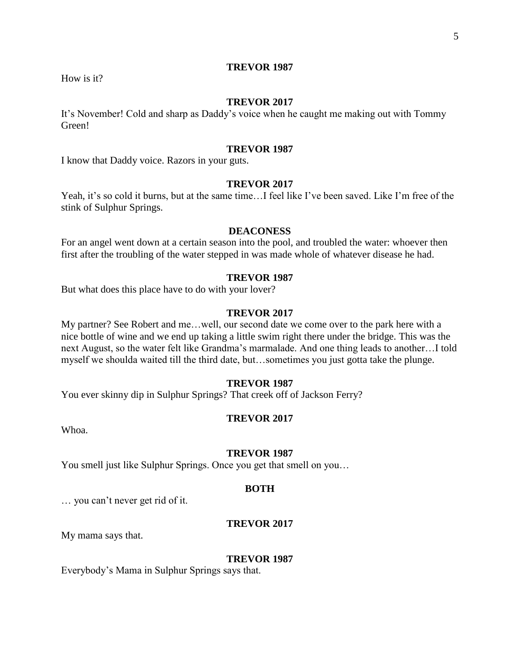How is it?

# **TREVOR 2017**

It's November! Cold and sharp as Daddy's voice when he caught me making out with Tommy Green!

## **TREVOR 1987**

I know that Daddy voice. Razors in your guts.

## **TREVOR 2017**

Yeah, it's so cold it burns, but at the same time...I feel like I've been saved. Like I'm free of the stink of Sulphur Springs.

### **DEACONESS**

For an angel went down at a certain season into the pool, and troubled the water: whoever then first after the troubling of the water stepped in was made whole of whatever disease he had.

### **TREVOR 1987**

But what does this place have to do with your lover?

# **TREVOR 2017**

My partner? See Robert and me…well, our second date we come over to the park here with a nice bottle of wine and we end up taking a little swim right there under the bridge. This was the next August, so the water felt like Grandma's marmalade. And one thing leads to another…I told myself we shoulda waited till the third date, but…sometimes you just gotta take the plunge.

## **TREVOR 1987**

You ever skinny dip in Sulphur Springs? That creek off of Jackson Ferry?

#### **TREVOR 2017**

Whoa.

### **TREVOR 1987**

You smell just like Sulphur Springs. Once you get that smell on you...

#### **BOTH**

… you can't never get rid of it.

## **TREVOR 2017**

My mama says that.

#### **TREVOR 1987**

Everybody's Mama in Sulphur Springs says that.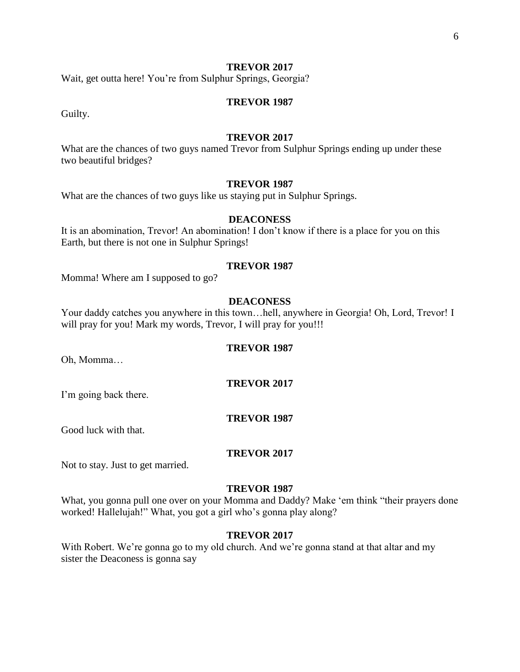Wait, get outta here! You're from Sulphur Springs, Georgia?

## **TREVOR 1987**

Guilty.

## **TREVOR 2017**

What are the chances of two guys named Trevor from Sulphur Springs ending up under these two beautiful bridges?

## **TREVOR 1987**

What are the chances of two guys like us staying put in Sulphur Springs.

# **DEACONESS**

It is an abomination, Trevor! An abomination! I don't know if there is a place for you on this Earth, but there is not one in Sulphur Springs!

### **TREVOR 1987**

Momma! Where am I supposed to go?

## **DEACONESS**

Your daddy catches you anywhere in this town…hell, anywhere in Georgia! Oh, Lord, Trevor! I will pray for you! Mark my words, Trevor, I will pray for you!!!

### **TREVOR 1987**

Oh, Momma…

## **TREVOR 2017**

I'm going back there.

#### **TREVOR 1987**

Good luck with that.

## **TREVOR 2017**

Not to stay. Just to get married.

#### **TREVOR 1987**

What, you gonna pull one over on your Momma and Daddy? Make 'em think "their prayers done worked! Hallelujah!" What, you got a girl who's gonna play along?

# **TREVOR 2017**

With Robert. We're gonna go to my old church. And we're gonna stand at that altar and my sister the Deaconess is gonna say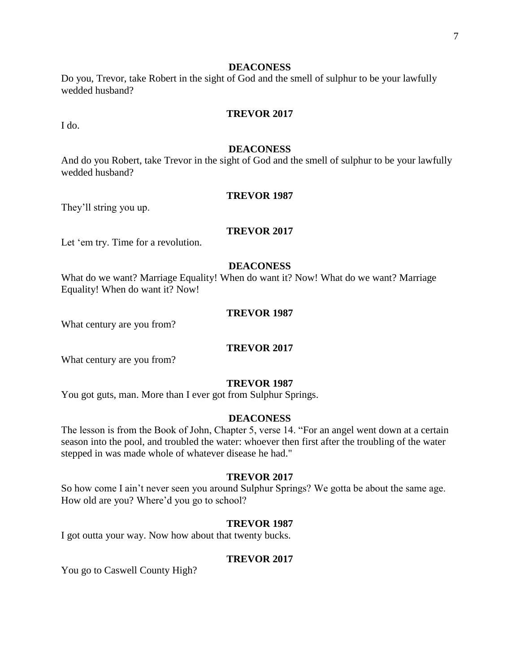### **DEACONESS**

Do you, Trevor, take Robert in the sight of God and the smell of sulphur to be your lawfully wedded husband?

### **TREVOR 2017**

I do.

### **DEACONESS**

And do you Robert, take Trevor in the sight of God and the smell of sulphur to be your lawfully wedded husband?

### **TREVOR 1987**

They'll string you up.

## **TREVOR 2017**

Let 'em try. Time for a revolution.

### **DEACONESS**

What do we want? Marriage Equality! When do want it? Now! What do we want? Marriage Equality! When do want it? Now!

# **TREVOR 1987**

What century are you from?

### **TREVOR 2017**

What century are you from?

### **TREVOR 1987**

You got guts, man. More than I ever got from Sulphur Springs.

#### **DEACONESS**

The lesson is from the Book of John, Chapter 5, verse 14. "For an angel went down at a certain season into the pool, and troubled the water: whoever then first after the troubling of the water stepped in was made whole of whatever disease he had."

## **TREVOR 2017**

So how come I ain't never seen you around Sulphur Springs? We gotta be about the same age. How old are you? Where'd you go to school?

## **TREVOR 1987**

I got outta your way. Now how about that twenty bucks.

## **TREVOR 2017**

You go to Caswell County High?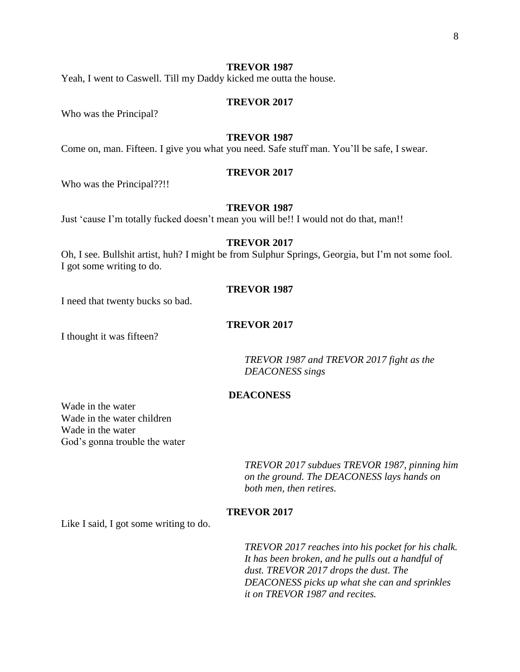Yeah, I went to Caswell. Till my Daddy kicked me outta the house.

## **TREVOR 2017**

Who was the Principal?

## **TREVOR 1987**

Come on, man. Fifteen. I give you what you need. Safe stuff man. You'll be safe, I swear.

### **TREVOR 2017**

Who was the Principal??!!

### **TREVOR 1987**

Just 'cause I'm totally fucked doesn't mean you will be!! I would not do that, man!!

# **TREVOR 2017**

Oh, I see. Bullshit artist, huh? I might be from Sulphur Springs, Georgia, but I'm not some fool. I got some writing to do.

## **TREVOR 1987**

I need that twenty bucks so bad.

## **TREVOR 2017**

I thought it was fifteen?

*TREVOR 1987 and TREVOR 2017 fight as the DEACONESS sings*

## **DEACONESS**

Wade in the water Wade in the water children Wade in the water God's gonna trouble the water

> *TREVOR 2017 subdues TREVOR 1987, pinning him on the ground. The DEACONESS lays hands on both men, then retires.*

## **TREVOR 2017**

Like I said, I got some writing to do.

*TREVOR 2017 reaches into his pocket for his chalk. It has been broken, and he pulls out a handful of dust. TREVOR 2017 drops the dust. The DEACONESS picks up what she can and sprinkles it on TREVOR 1987 and recites.*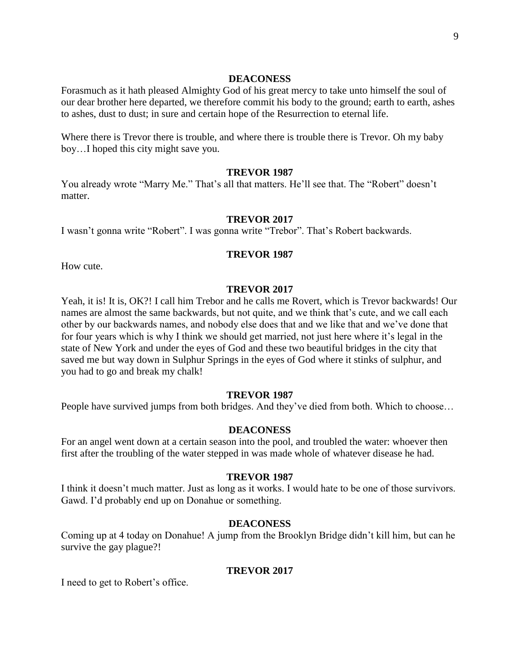### **DEACONESS**

Forasmuch as it hath pleased Almighty God of his great mercy to take unto himself the soul of our dear brother here departed, we therefore commit his body to the ground; earth to earth, ashes to ashes, dust to dust; in sure and certain hope of the Resurrection to eternal life.

Where there is Trevor there is trouble, and where there is trouble there is Trevor. Oh my baby boy…I hoped this city might save you.

### **TREVOR 1987**

You already wrote "Marry Me." That's all that matters. He'll see that. The "Robert" doesn't matter.

# **TREVOR 2017**

I wasn't gonna write "Robert". I was gonna write "Trebor". That's Robert backwards.

# **TREVOR 1987**

How cute.

# **TREVOR 2017**

Yeah, it is! It is, OK?! I call him Trebor and he calls me Rovert, which is Trevor backwards! Our names are almost the same backwards, but not quite, and we think that's cute, and we call each other by our backwards names, and nobody else does that and we like that and we've done that for four years which is why I think we should get married, not just here where it's legal in the state of New York and under the eyes of God and these two beautiful bridges in the city that saved me but way down in Sulphur Springs in the eyes of God where it stinks of sulphur, and you had to go and break my chalk!

## **TREVOR 1987**

People have survived jumps from both bridges. And they've died from both. Which to choose…

# **DEACONESS**

For an angel went down at a certain season into the pool, and troubled the water: whoever then first after the troubling of the water stepped in was made whole of whatever disease he had.

## **TREVOR 1987**

I think it doesn't much matter. Just as long as it works. I would hate to be one of those survivors. Gawd. I'd probably end up on Donahue or something.

# **DEACONESS**

Coming up at 4 today on Donahue! A jump from the Brooklyn Bridge didn't kill him, but can he survive the gay plague?!

### **TREVOR 2017**

I need to get to Robert's office.